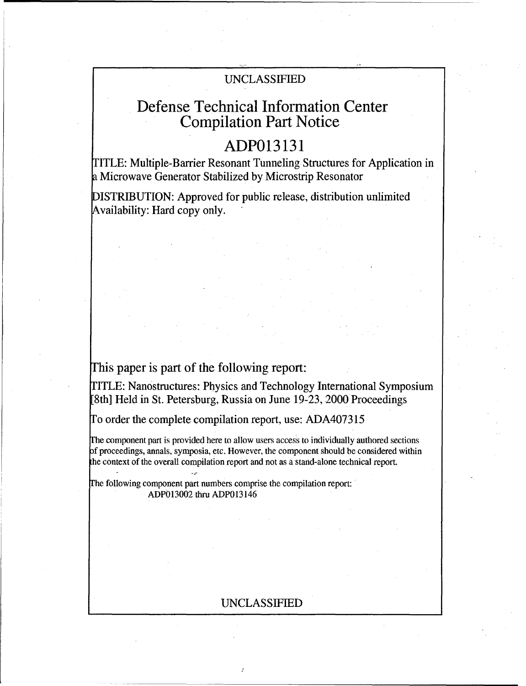## UNCLASSIFIED

# Defense Technical Information Center Compilation Part Notice

# **ADP013131**

TITLE: Multiple-Barrier Resonant Tunneling Structures for Application in a Microwave Generator Stabilized by Microstrip Resonator

DISTRIBUTION: Approved for public release, distribution unlimited Availability: Hard copy only.

## This paper is part of the following report:

ITLE: Nanostructures: Physics and Technology International Symposium [8th] Held in St. Petersburg, Russia on June 19-23, 2000 Proceedings

To order the complete compilation report, use: ADA407315

Fhe component part is provided here to allow users access to individually authored sections f proceedings, annals, symposia, etc. However, the component should be considered within the context of the overall compilation report and not as a stand-alone technical report.

The following component part numbers comprise the compilation report: ADP013002 thru ADP013146

### UNCLASSIFIED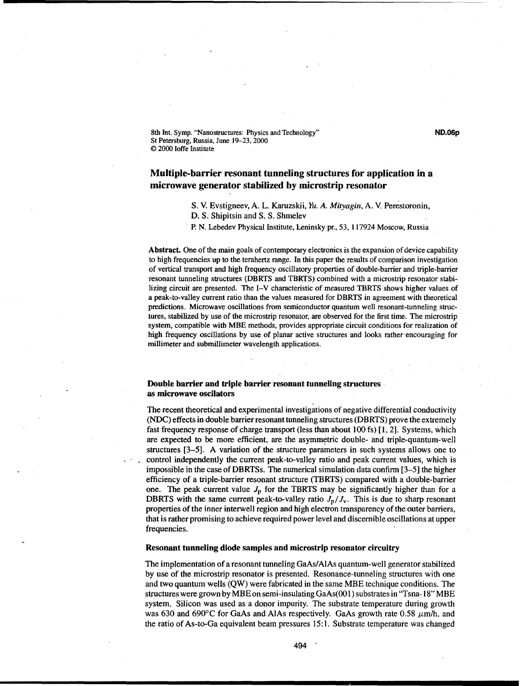8th Int. Symp. "Nanostructures: Physics and Technology" **ND.06p** St Petersburg, Russia, June 19-23, 2000 © 2000 loffe Institute

### Multiple-barrier resonant tunneling structures for application in a microwave generator stabilized **by** microstrip resonator

S. V. Evstigneev, A. L. Karuzskii, Yu. *A. Mitagin,* A. V. Perestoronin, S. V. Evstigneev, A. L. Karuzskii, *Yu. A. Mitvagin*, A. V. Perestoronin,

D. S. Shipitsin and S. S. Shmelev

P. N. Lebedev Physical Institute, Leninsky pr., 53, 117924 Moscow, Russia

Abstract. One of the main goals of contemporary electronics is the expansion of device capability to high frequencies up to the terahertz range. In this paper the results of comparison investigation of vertical transport and high frequency oscillatory properties of double-barrier and triple-barrier resonant tunneling structures (DBRTS and TBRTS) combined with a microstrip resonator stabilizing circuit are presented. The I-V characteristic of measured TBRTS shows higher values of a peak-to-valley current ratio than the values measured for DBRTS in agreement with theoretical predictions. Microwave oscillations from semiconductor quantum well resonant-tunneling structures, stabilized by use of the microstrip resonator, are observed for the first time. The microstrip system, compatible with MBE methods, provides appropriate circuit conditions for realization of high frequency oscillations by use of planar active structures and looks rather encouraging for millimeter and submillimeter wavelength applications.

#### Double barrier and triple barrier resonant tunneling structures• as microwave oscilators

The recent theoretical and experimental investigations of negative differential conductivity (NDC) effects in double barrier resonant tunneling structures (DBRTS) prove the extremely fast frequency response of charge transport (less than about 100 fs) [1, 2]. Systems, which are expected to be more efficient, are the asymmetric double- and triple-quantum-well structures [3-5]. A variation of the structure parameters in such systems allows one to control independently the current peak-to-valley ratio and peak current values, which is impossible in the case of DBRTSs. The numerical simulation data confirm [3-5] the higher efficiency of a triple-barrier resonant structure (TBRTS) compared with a double-barrier one. The peak current value  $J_p$  for the TBRTS may be significantly higher than for a DBRTS with the same current peak-to-valley ratio  $J_p/J_v$ . This is due to sharp resonant properties of the inner interwell region and high electron transparency of the outer barriers, that is rather promising to achieve required power level and discernible oscillations at upper frequencies.

#### Resonant tunneling diode samples and microstrip resonator circuitry

The implementation of a resonant tunneling GaAs/AlAs quantum-well generator stabilized by use of the microstrip resonator is presented. Resonance-tunneling structures with one and two quantum wells (QW) were fabricated in the same MBE technique conditions. The structures were grown by MBEon semi-insulating GaAs(00l) substrates in "Tsna-18" MBE system. Silicon was used as a donor impurity. The substrate temperature during growth was 630 and 690°C for GaAs and AlAs respectively. GaAs growth rate 0.58  $\mu$ m/h, and the ratio of As-to-Ga equivalent beam pressures 15:1. Substrate temperature was changed

494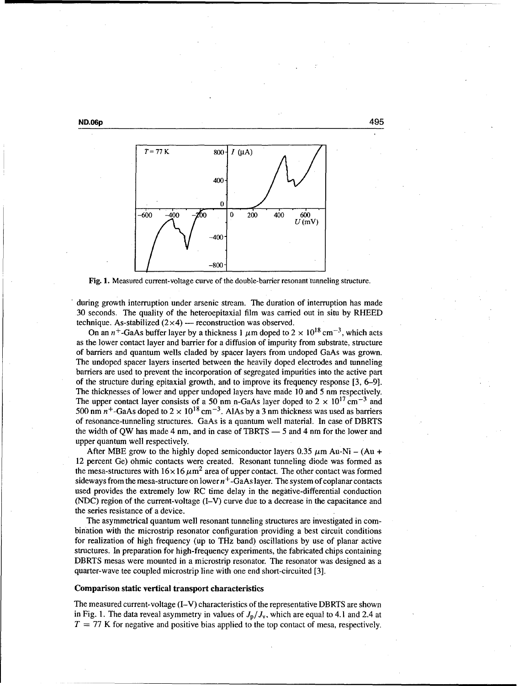**ND.06p** 495



Fig. **1.** Measured current-voltage curve of the double-barrier resonant tunneling structure.

during growth interruption under arsenic stream. The duration of interruption has made 30 seconds. The quality of the heteroepitaxial film was carried out in situ by RHEED technique. As-stabilized  $(2\times4)$  — reconstruction was observed.

On an  $n^+$ -GaAs buffer layer by a thickness 1  $\mu$ m doped to 2  $\times$  10<sup>18</sup> cm<sup>-3</sup>, which acts as the lower contact layer and barrier for a diffusion of impurity from substrate, structure of barriers and quantum wells claded by spacer layers from undoped GaAs was grown. The undoped spacer layers inserted between the heavily doped electrodes and tunneling barriers are used to prevent the incorporation of segregated impurities into the active part of the structure during epitaxial growth, and to improve its frequency response [3, **6-91.** The thicknesses of lower and upper undoped layers have made 10 and 5 nm respectively. The upper contact layer consists of a 50 nm n-GaAs layer doped to  $2 \times 10^{17}$  cm<sup>-3</sup> and 500 nm  $n^+$ -GaAs doped to  $2 \times 10^{18}$  cm<sup>-3</sup>. AlAs by a 3 nm thickness was used as barriers of resonance-tunneling structures. GaAs is a quantum well material. In case of DBRTS the width of QW has made 4 nm, and in case of TBRTS  $-$  5 and 4 nm for the lower and upper quantum well respectively.

After MBE grow to the highly doped semiconductor layers  $0.35 \mu$ m Au-Ni – (Au + 12 percent Ge) ohmic contacts were created. Resonant tunneling diode was formed as the mesa-structures with  $16 \times 16 \mu m^2$  area of upper contact. The other contact was formed sideways from the mesa-structure on lower  $n<sup>+</sup>$ -GaAs layer. The system of coplanar contacts used provides the extremely low RC time delay in the negative-differential conduction (NDC) region of the current-voltage (I-V) curve due to a decrease in the capacitance and the series resistance of a device.

The asymmetrical quantum well resonant tunneling structures are investigated in combination with the microstrip resonator configuration providing a best circuit conditions for realization of high frequency (up to THz band) oscillations by use of planar active structures. In preparation for high-frequency experiments, the fabricated chips containing DBRTS mesas were mounted in a microstrip resonator. The resonator was designed as a quarter-wave tee coupled microstrip line with one end short-circuited [3].

#### Comparison static vertical transport characteristics

The measured current-voltage (I-V) characteristics of the representative DBRTS are shown in Fig. 1. The data reveal asymmetry in values of  $J<sub>p</sub>/J<sub>y</sub>$ , which are equal to 4.1 and 2.4 at  $T = 77$  K for negative and positive bias applied to the top contact of mesa, respectively.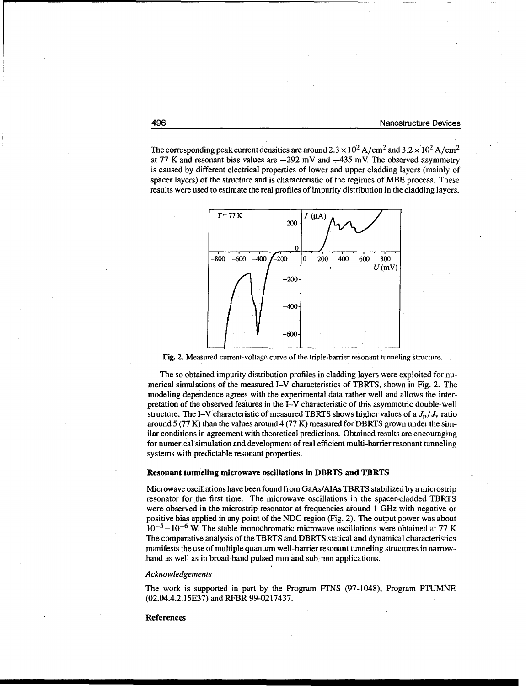The corresponding peak current densities are around  $2.3 \times 10^2$  A/cm<sup>2</sup> and  $3.2 \times 10^2$  A/cm<sup>2</sup> at 77 K and resonant bias values are  $-292$  mV and  $+435$  mV. The observed asymmetry is caused by different electrical properties of lower and upper cladding layers (mainly of spacer layers) of the structure and is characteristic of the regimes of MBE process. These results were used to estimate the real profiles of impurity distribution in the cladding layers.



Fig. 2. Measured current-voltage curve of the triple-barrier resonant tunneling structure.

The so obtained impurity distribution profiles in cladding layers were exploited for numerical simulations of the measured I-V characteristics of TBRTS, shown in Fig. 2. The modeling dependence agrees with the experimental data rather well and allows the interpretation of the observed features in the I-V characteristic of this asymmetric double-well structure. The I-V characteristic of measured TBRTS shows higher values of a  $J_{\rm p}/J_{\rm v}$  ratio around  $5(77 K)$  than the values around  $4(77 K)$  measured for DBRTS grown under the similar conditions in agreement with theoretical predictions. Obtained results are encouraging for numerical simulation and development of real efficient multi-barrier resonant tunneling systems with predictable resonant properties.

#### Resonant tunneling microwave oscillations in DBRTS and TBRTS

Microwave oscillations have been found from GaAs/AlAs TBRTS stabilized by a microstrip resonator for the first time. The microwave oscillations in the spacer-cladded TBRTS were observed in the microstrip resonator at frequencies around **I** GHz with negative or positive bias applied in any point of the NDC region (Fig. 2). The output power was about  $10^{-5}$ – $10^{-6}$  W. The stable monochromatic microwave oscillations were obtained at 77 K The comparative analysis of the TBRTS and DBRTS statical and dynamical characteristics manifests the use of multiple quantum well-barrier resonant tunneling structures in narrowband as well as in broad-band pulsed mm and sub-mm applications.

#### *Acknowledgements*

The work is supported in part by the Program FTNS (97-1048), Program PTUMNE (02.04.4.2.15E37) and RFBR 99-0217437.

#### References